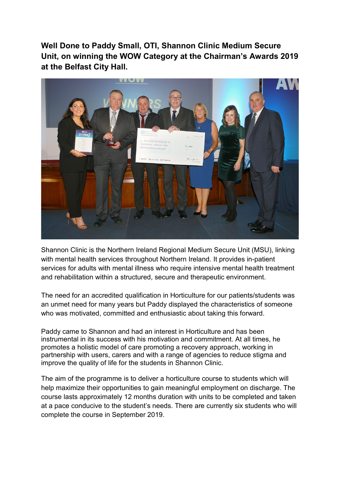**Well Done to Paddy Small, OTI, Shannon Clinic Medium Secure Unit, on winning the WOW Category at the Chairman's Awards 2019 at the Belfast City Hall.**



Shannon Clinic is the Northern Ireland Regional Medium Secure Unit (MSU), linking with mental health services throughout Northern Ireland. It provides in-patient services for adults with mental illness who require intensive mental health treatment and rehabilitation within a structured, secure and therapeutic environment.

The need for an accredited qualification in Horticulture for our patients/students was an unmet need for many years but Paddy displayed the characteristics of someone who was motivated, committed and enthusiastic about taking this forward.

Paddy came to Shannon and had an interest in Horticulture and has been instrumental in its success with his motivation and commitment. At all times, he promotes a holistic model of care promoting a recovery approach, working in partnership with users, carers and with a range of agencies to reduce stigma and improve the quality of life for the students in Shannon Clinic.

The aim of the programme is to deliver a horticulture course to students which will help maximize their opportunities to gain meaningful employment on discharge. The course lasts approximately 12 months duration with units to be completed and taken at a pace conducive to the student's needs. There are currently six students who will complete the course in September 2019.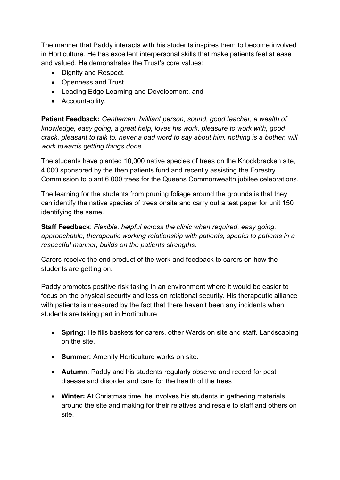The manner that Paddy interacts with his students inspires them to become involved in Horticulture. He has excellent interpersonal skills that make patients feel at ease and valued. He demonstrates the Trust's core values:

- Dignity and Respect.
- Openness and Trust,
- Leading Edge Learning and Development, and
- Accountability.

**Patient Feedback:** *Gentleman, brilliant person, sound, good teacher, a wealth of knowledge, easy going, a great help, loves his work, pleasure to work with, good crack, pleasant to talk to, never a bad word to say about him, nothing is a bother, will work towards getting things done.* 

The students have planted 10,000 native species of trees on the Knockbracken site, 4,000 sponsored by the then patients fund and recently assisting the Forestry Commission to plant 6,000 trees for the Queens Commonwealth jubilee celebrations.

The learning for the students from pruning foliage around the grounds is that they can identify the native species of trees onsite and carry out a test paper for unit 150 identifying the same.

**Staff Feedback**: *Flexible, helpful across the clinic when required, easy going, approachable, therapeutic working relationship with patients, speaks to patients in a respectful manner, builds on the patients strengths.*

Carers receive the end product of the work and feedback to carers on how the students are getting on.

Paddy promotes positive risk taking in an environment where it would be easier to focus on the physical security and less on relational security. His therapeutic alliance with patients is measured by the fact that there haven't been any incidents when students are taking part in Horticulture

- **Spring:** He fills baskets for carers, other Wards on site and staff. Landscaping on the site.
- **Summer:** Amenity Horticulture works on site.
- **Autumn**: Paddy and his students regularly observe and record for pest disease and disorder and care for the health of the trees
- **Winter:** At Christmas time, he involves his students in gathering materials around the site and making for their relatives and resale to staff and others on site.